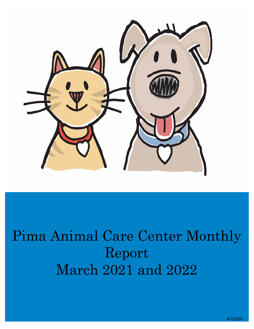

# Pima Animal Care Center Monthly Report March 2021 and 2022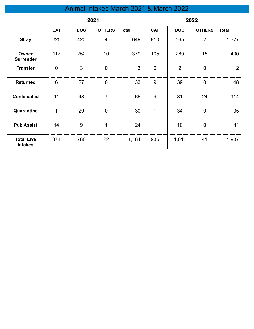## Animal Intakes March 2021 & March 2022

|                                     | 2021           |            |                  |              |             | 2022           |                  |                |
|-------------------------------------|----------------|------------|------------------|--------------|-------------|----------------|------------------|----------------|
|                                     | <b>CAT</b>     | <b>DOG</b> | <b>OTHERS</b>    | <b>Total</b> | <b>CAT</b>  | <b>DOG</b>     | <b>OTHERS</b>    | <b>Total</b>   |
| <b>Stray</b>                        | 225            | 420        | $\overline{4}$   | 649          | 810         | 565            | $\overline{2}$   | 1,377          |
| Owner<br><b>Surrender</b>           | 117            | 252        | 10               | 379          | 105         | 280            | 15               | 400            |
| <b>Transfer</b>                     | $\mathbf 0$    | 3          | $\mathbf 0$      | 3            | $\mathbf 0$ | $\overline{2}$ | $\mathbf 0$      | $\overline{2}$ |
| <b>Returned</b>                     | $6\phantom{1}$ | 27         | $\boldsymbol{0}$ | 33           | 9           | 39             | $\boldsymbol{0}$ | 48             |
| <b>Confiscated</b>                  | 11             | 48         | $\overline{7}$   | 66           | 9           | 81             | 24               | 114            |
| Quarantine                          | 1              | 29         | $\mathbf 0$      | 30           | 1           | 34             | $\mathbf 0$      | 35             |
| <b>Pub Assist</b>                   | 14             | 9          | 1                | 24           | 1           | 10             | $\mathbf 0$      | 11             |
| <b>Total Live</b><br><b>Intakes</b> | 374            | 788        | 22               | 1,184        | 935         | 1,011          | 41               | 1,987          |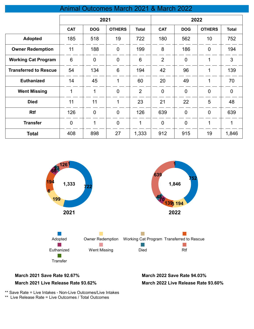#### Animal Outcomes March 2021 & March 2022

|                              | 2021        |                |                | 2022           |                |                |                |              |
|------------------------------|-------------|----------------|----------------|----------------|----------------|----------------|----------------|--------------|
|                              | <b>CAT</b>  | <b>DOG</b>     | <b>OTHERS</b>  | <b>Total</b>   | <b>CAT</b>     | <b>DOG</b>     | <b>OTHERS</b>  | <b>Total</b> |
| <b>Adopted</b>               | 185         | 518            | 19             | 722            | 180            | 562            | 10             | 752          |
| <b>Owner Redemption</b>      | 11          | 188            | $\overline{0}$ | 199            | 8              | 186            | $\overline{0}$ | 194          |
| <b>Working Cat Program</b>   | 6           | $\mathbf 0$    | $\overline{0}$ | 6              | $\overline{2}$ | $\overline{0}$ | 1              | 3            |
| <b>Transferred to Rescue</b> | 54          | 134            | $6\phantom{1}$ | 194            | 42             | 96             | 1              | 139          |
| <b>Euthanized</b>            | 14          | 45             | 1              | 60             | 20             | 49             | 1              | 70           |
| <b>Went Missing</b>          | $\mathbf 1$ | $\mathbf{1}$   | $\overline{0}$ | $\overline{2}$ | $\overline{0}$ | $\overline{0}$ | $\overline{0}$ | $\mathbf 0$  |
| <b>Died</b>                  | 11          | 11             | 1              | 23             | 21             | 22             | 5              | 48           |
| <b>Rtf</b>                   | 126         | $\overline{0}$ | $\overline{0}$ | 126            | 639            | $\overline{0}$ | $\overline{0}$ | 639          |
| <b>Transfer</b>              | $\mathbf 0$ | 1              | $\overline{0}$ | 1              | $\mathbf 0$    | $\overline{0}$ | 1              | 1            |
| <b>Total</b>                 | 408         | 898            | 27             | 1,333          | 912            | 915            | 19             | 1,846        |



#### **March 2021 Save Rate 92.67% March 2022 Save Rate 94.03%**

#### **March 2021 Live Release Rate 93.62%**

**March 2022 Live Release Rate 93.60%**

\*\* Save Rate = Live Intakes - Non-Live Outcomes/Live Intakes

\*\* Live Release Rate = Live Outcomes / Total Outcomes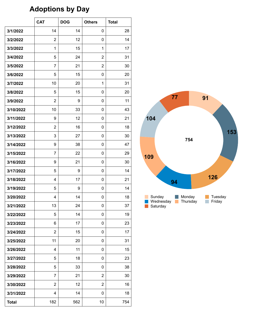## **Adoptions by Day**

|              | <b>CAT</b>     | <b>DOG</b> | <b>Others</b>  | <b>Total</b> |
|--------------|----------------|------------|----------------|--------------|
| 3/1/2022     | 14             | 14         | 0              | 28           |
| 3/2/2022     | $\overline{2}$ | 12         | 0              | 14           |
| 3/3/2022     | $\mathbf{1}$   | 15         | 1              | 17           |
| 3/4/2022     | 5              | 24         | $\overline{2}$ | 31           |
| 3/5/2022     | $\overline{7}$ | 21         | $\overline{2}$ | 30           |
| 3/6/2022     | 5              | 15         | 0              | 20           |
| 3/7/2022     | 10             | 20         | 1              | 31           |
| 3/8/2022     | 5              | 15         | 0              | 20           |
| 3/9/2022     | $\overline{2}$ | 9          | 0              | 11           |
| 3/10/2022    | 10             | 33         | 0              | 43           |
| 3/11/2022    | 9              | 12         | 0              | 21           |
| 3/12/2022    | $\overline{2}$ | 16         | 0              | 18           |
| 3/13/2022    | 3              | 27         | 0              | 30           |
| 3/14/2022    | 9              | 38         | 0              | 47           |
| 3/15/2022    | $\overline{7}$ | 22         | 0              | 29           |
| 3/16/2022    | 9              | 21         | 0              | 30           |
| 3/17/2022    | 5              | 9          | 0              | 14           |
| 3/18/2022    | 4              | 17         | 0              | 21           |
| 3/19/2022    | 5              | 9          | 0              | 14           |
| 3/20/2022    | 4              | 14         | 0              | 18           |
| 3/21/2022    | 13             | 24         | 0              | 37           |
| 3/22/2022    | 5              | 14         | 0              | 19           |
| 3/23/2022    | 6              | 17         | 0              | 23           |
| 3/24/2022    | $\overline{2}$ | 15         | 0              | 17           |
| 3/25/2022    | 11             | 20         | 0              | 31           |
| 3/26/2022    | 4              | 11         | 0              | 15           |
| 3/27/2022    | 5              | 18         | 0              | 23           |
| 3/28/2022    | 5              | 33         | 0              | 38           |
| 3/29/2022    | $\overline{7}$ | 21         | $\overline{2}$ | 30           |
| 3/30/2022    | $\overline{2}$ | 12         | $\overline{2}$ | 16           |
| 3/31/2022    | 4              | 14         | 0              | 18           |
| <b>Total</b> | 182            | 562        | 10             | 754          |

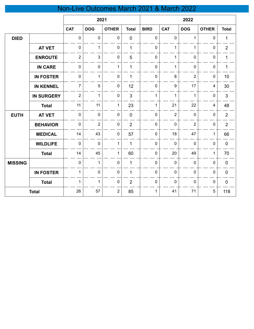## Non-Live Outcomes March 2021 & March 2022

|                |                   | 2021           |                |                |                | 2022           |                |                |              |                |
|----------------|-------------------|----------------|----------------|----------------|----------------|----------------|----------------|----------------|--------------|----------------|
|                |                   | <b>CAT</b>     | <b>DOG</b>     | <b>OTHER</b>   | <b>Total</b>   | <b>BIRD</b>    | <b>CAT</b>     | <b>DOG</b>     | <b>OTHER</b> | <b>Total</b>   |
| <b>DIED</b>    |                   | $\mathbf 0$    | $\mathbf 0$    | $\mathbf 0$    | $\mathbf 0$    | $\mathbf 0$    | $\mathbf 0$    | 1              | $\mathbf 0$  | 1              |
|                | <b>AT VET</b>     | $\mathbf 0$    | $\mathbf{1}$   | $\mathbf 0$    | 1              | $\mathbf 0$    | 1              | 1              | 0            | $\overline{2}$ |
|                | <b>ENROUTE</b>    | $\overline{2}$ | $\mathbf{3}$   | $\pmb{0}$      | 5              | $\mathbf 0$    | 1              | $\mathbf 0$    | $\mathbf 0$  | 1              |
|                | <b>IN CARE</b>    | $\mathbf 0$    | $\mathbf 0$    | $\mathbf{1}$   | $\mathbf{1}$   | 0              | 1              | 0              | 0            | 1              |
|                | <b>IN FOSTER</b>  | $\mathbf 0$    | $\mathbf{1}$   | $\mathbf 0$    | 1              | 0              | 8              | $\overline{2}$ | 0            | 10             |
|                | <b>IN KENNEL</b>  | $\overline{7}$ | 5              | $\pmb{0}$      | 12             | $\mathbf 0$    | 9              | 17             | 4            | 30             |
|                | <b>IN SURGERY</b> | $\overline{2}$ | $\mathbf{1}$   | $\pmb{0}$      | 3              | $\mathbf 1$    | 1              | $\mathbf{1}$   | 0            | 3              |
|                | <b>Total</b>      | 11             | 11             | $\mathbf{1}$   | 23             | $\mathbf 1$    | 21             | 22             | 4            | 48             |
| <b>EUTH</b>    | <b>AT VET</b>     | $\mathbf 0$    | $\mathbf 0$    | $\mathbf 0$    | $\overline{0}$ | $\overline{0}$ | $\overline{2}$ | $\mathbf 0$    | 0            | $\overline{2}$ |
|                | <b>BEHAVIOR</b>   | $\mathbf 0$    | $\overline{2}$ | $\mathbf 0$    | $\overline{2}$ | $\mathbf 0$    | $\mathbf 0$    | $\overline{2}$ | $\mathbf 0$  | $\overline{2}$ |
|                | <b>MEDICAL</b>    | 14             | 43             | $\pmb{0}$      | 57             | $\mathbf 0$    | 18             | 47             | $\mathbf{1}$ | 66             |
|                | <b>WILDLIFE</b>   | $\mathbf 0$    | $\mathbf 0$    | $\mathbf{1}$   | $\mathbf{1}$   | $\mathbf 0$    | $\mathbf 0$    | $\mathbf 0$    | $\mathbf 0$  | $\mathbf 0$    |
|                | <b>Total</b>      | 14             | 45             | $\mathbf{1}$   | 60             | $\mathbf 0$    | 20             | 49             | $\mathbf{1}$ | 70             |
| <b>MISSING</b> |                   | $\mathbf 0$    | $\mathbf{1}$   | $\mathbf 0$    | $\mathbf{1}$   | $\mathbf 0$    | $\mathbf 0$    | $\mathbf 0$    | $\mathbf 0$  | $\pmb{0}$      |
|                | <b>IN FOSTER</b>  | $\mathbf{1}$   | $\pmb{0}$      | $\pmb{0}$      | $\mathbf{1}$   | $\mathbf 0$    | $\mathbf 0$    | $\mathbf 0$    | $\mathbf 0$  | $\pmb{0}$      |
|                | <b>Total</b>      | $\mathbf{1}$   | $\mathbf{1}$   | $\mathbf 0$    | $\overline{2}$ | 0              | $\mathbf 0$    | 0              | $\mathbf 0$  | $\mathbf 0$    |
|                | <b>Total</b>      | 26             | 57             | $\overline{2}$ | 85             | 1              | 41             | 71             | 5            | 118            |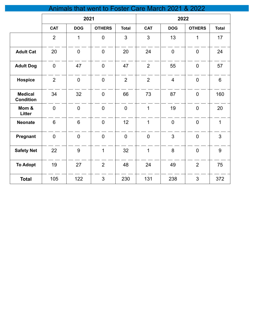| als that went to Foster Care March 2021 & 2022 |                |                |                |                |                |                |                |                  |
|------------------------------------------------|----------------|----------------|----------------|----------------|----------------|----------------|----------------|------------------|
|                                                |                | 2021           |                |                |                | 2022           |                |                  |
|                                                | <b>CAT</b>     | <b>DOG</b>     | <b>OTHERS</b>  | <b>Total</b>   | <b>CAT</b>     | <b>DOG</b>     | <b>OTHERS</b>  | <b>Total</b>     |
|                                                | $\overline{2}$ | $\overline{1}$ | $\overline{0}$ | $\overline{3}$ | $\overline{3}$ | 13             | 1              | 17               |
| <b>Adult Cat</b>                               | 20             | $\mathbf 0$    | $\mathbf 0$    | 20             | 24             | $\mathbf 0$    | $\mathbf 0$    | 24               |
| <b>Adult Dog</b>                               | $\mathbf 0$    | 47             | $\mathbf 0$    | 47             | $\overline{2}$ | 55             | $\mathbf 0$    | 57               |
| <b>Hospice</b>                                 | $\overline{2}$ | $\overline{0}$ | $\overline{0}$ | $\overline{2}$ | $\overline{2}$ | $\overline{4}$ | $\overline{0}$ | $6\phantom{1}$   |
| <b>Medical</b><br><b>Condition</b>             | 34             | 32             | $\overline{0}$ | 66             | 73             | 87             | $\overline{0}$ | 160              |
| Mom &<br>Litter                                | $\mathbf 0$    | $\mathbf 0$    | $\overline{0}$ | $\overline{0}$ | $\mathbf{1}$   | 19             | $\overline{0}$ | 20               |
| <b>Neonate</b>                                 | $6\phantom{1}$ | $6\phantom{1}$ | $\mathbf 0$    | 12             | $\mathbf{1}$   | $\mathbf 0$    | $\mathbf 0$    | $\mathbf{1}$     |
| Pregnant                                       | $\mathbf 0$    | $\overline{0}$ | $\mathbf 0$    | $\overline{0}$ | $\overline{0}$ | 3              | $\overline{0}$ | $\mathfrak{S}$   |
| <b>Safety Net</b>                              | 22             | 9              | $\mathbf{1}$   | 32             | $\mathbf{1}$   | 8              | $\overline{0}$ | $\boldsymbol{9}$ |
| <b>To Adopt</b>                                | 19             | 27             | $\overline{2}$ | 48             | 24             | 49             | $\overline{2}$ | 75               |
| <b>Total</b>                                   | 105            | 122            | 3              | 230            | 131            | 238            | 3              | 372              |

#### Animals that went to Foster Care March 2021 & 2022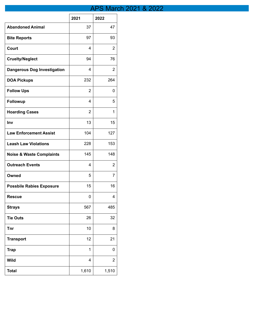## **APS March 2021 & 2022**

|                                     | 2021  | 2022           |
|-------------------------------------|-------|----------------|
| <b>Abandoned Animal</b>             | 37    | 47             |
| <b>Bite Reports</b>                 | 97    | 93             |
| Court                               | 4     | 2              |
| <b>Cruelty/Neglect</b>              | 94    | 76             |
| <b>Dangerous Dog Investigation</b>  | 4     | 2              |
| <b>DOA Pickups</b>                  | 232   | 264            |
| <b>Follow Ups</b>                   | 2     | 0              |
| <b>Followup</b>                     | 4     | 5              |
| <b>Hoarding Cases</b>               | 2     | 1              |
| Inv                                 | 13    | 15             |
| <b>Law Enforcement Assist</b>       | 104   | 127            |
| <b>Leash Law Violations</b>         | 228   | 153            |
| <b>Noise &amp; Waste Complaints</b> | 145   | 148            |
| <b>Outreach Events</b>              | 4     | 2              |
| Owned                               | 5     | 7              |
| <b>Possbile Rabies Exposure</b>     | 15    | 16             |
| <b>Rescue</b>                       | 0     | 4              |
| <b>Strays</b>                       | 567   | 485            |
| <b>Tie Outs</b>                     | 26    | 32             |
| <b>Tnr</b>                          | 10    | 8              |
| <b>Transport</b>                    | 12    | 21             |
| <b>Trap</b>                         | 1     | 0              |
| <b>Wild</b>                         | 4     | $\overline{2}$ |
| <b>Total</b>                        | 1,610 | 1,510          |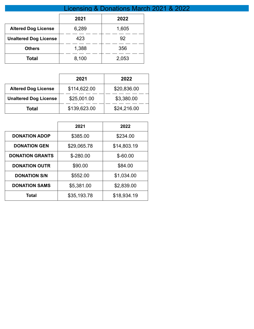|                              | <b>Licensing &amp; Donations March</b> |       |  |  |
|------------------------------|----------------------------------------|-------|--|--|
|                              | 2021                                   | 2022  |  |  |
| <b>Altered Dog License</b>   | 6,289                                  | 1,605 |  |  |
| <b>Unaltered Dog License</b> | 423                                    | 92    |  |  |
| <b>Others</b>                | 1,388                                  | 356   |  |  |
| Total                        | 8,100                                  | 2,053 |  |  |

Lie 2021 & 2022

|                              | 2021         | 2022        |
|------------------------------|--------------|-------------|
| <b>Altered Dog License</b>   | \$114,622.00 | \$20,836.00 |
| <b>Unaltered Dog License</b> | \$25,001.00  | \$3,380.00  |
| Total                        | \$139,623.00 | \$24,216.00 |

|                        | 2021        | 2022        |
|------------------------|-------------|-------------|
| <b>DONATION ADOP</b>   | \$385.00    | \$234.00    |
| <b>DONATION GEN</b>    | \$29,065.78 | \$14,803.19 |
| <b>DONATION GRANTS</b> | $$ -280.00$ | $$-60.00$   |
| <b>DONATION OUTR</b>   | \$90.00     | \$84.00     |
| <b>DONATION S/N</b>    | \$552.00    | \$1,034.00  |
| <b>DONATION SAMS</b>   | \$5,381.00  | \$2,839.00  |
| Total                  | \$35,193.78 | \$18,934.19 |